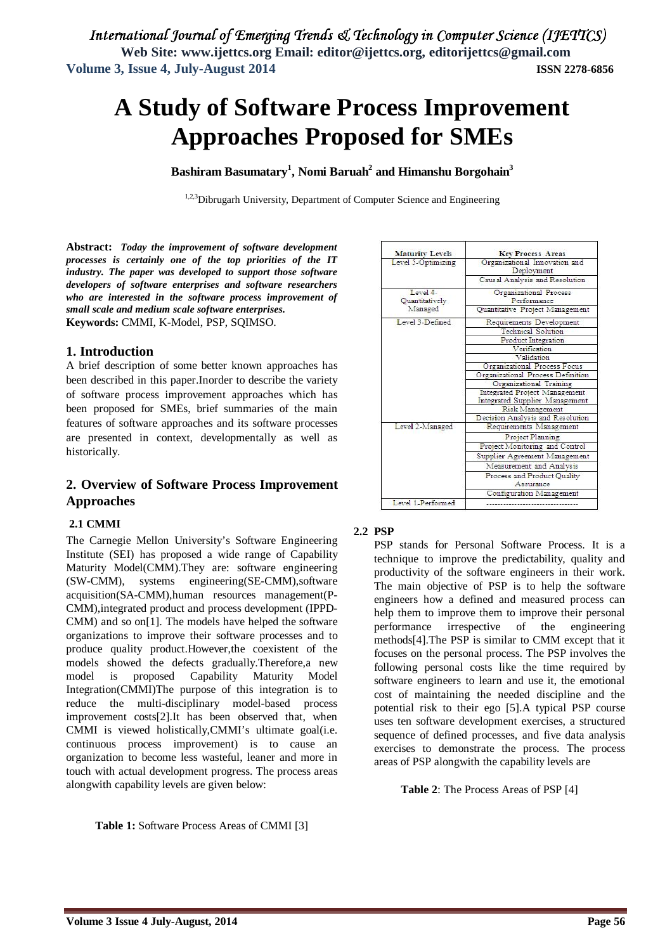# **A Study of Software Process Improvement Approaches Proposed for SMEs**

**Bashiram Basumatary<sup>1</sup> , Nomi Baruah<sup>2</sup> and Himanshu Borgohain<sup>3</sup>**

<sup>1,2,3</sup>Dibrugarh University, Department of Computer Science and Engineering

**Abstract:** *Today the improvement of software development processes is certainly one of the top priorities of the IT industry. The paper was developed to support those software developers of software enterprises and software researchers who are interested in the software process improvement of small scale and medium scale software enterprises.* **Keywords:** CMMI, K-Model, PSP, SQIMSO.

# **1. Introduction**

A brief description of some better known approaches has been described in this paper.Inorder to describe the variety of software process improvement approaches which has been proposed for SMEs, brief summaries of the main features of software approaches and its software processes are presented in context, developmentally as well as historically.

# **2. Overview of Software Process Improvement Approaches**

# **2.1 CMMI**

The Carnegie Mellon University's Software Engineering Institute (SEI) has proposed a wide range of Capability Maturity Model(CMM).They are: software engineering (SW-CMM), systems engineering(SE-CMM),software acquisition(SA-CMM),human resources management(P-CMM),integrated product and process development (IPPD-CMM) and so on[1]. The models have helped the software organizations to improve their software processes and to produce quality product.However,the coexistent of the models showed the defects gradually.Therefore,a new model is proposed Capability Maturity Model Integration(CMMI)The purpose of this integration is to reduce the multi-disciplinary model-based process improvement costs[2].It has been observed that, when CMMI is viewed holistically,CMMI's ultimate goal(i.e. continuous process improvement) is to cause an organization to become less wasteful, leaner and more in touch with actual development progress. The process areas alongwith capability levels are given below:

**Table 1:** Software Process Areas of CMMI [3]

| <b>Maturity Levels</b> | <b>Key Process Areas</b>                    |
|------------------------|---------------------------------------------|
| Level 5-Optimizing     | Organizational Innovation and<br>Deployment |
|                        | Causal Analysis and Resolution              |
| Level 4.               | Organizational Process                      |
| Quantitatively         | Performance                                 |
| Managed                | Quantitative Project Management             |
| Level 3-Defined        | Requirements Development                    |
|                        | Technical Solution                          |
|                        | Product Integration                         |
|                        | Verification                                |
|                        | Validation                                  |
|                        | Organizational Process Focus                |
|                        | Organizational Process Definition           |
|                        | Organizational Training                     |
|                        | Integrated Project Management               |
|                        | Integrated Supplier Management              |
|                        | Risk Management                             |
|                        | Decision Analysis and Resolution            |
| Level 2-Managed        | Requirements Management                     |
|                        | Project Planning                            |
|                        | Project Monitoring and Control              |
|                        | Supplier Agreement Management               |
|                        | Measurement and Analysis                    |
|                        | Process and Product Quality<br>Assurance    |
|                        | <b>Configuration Management</b>             |
| Level 1-Performed      |                                             |
|                        |                                             |

# **2.2 PSP**

PSP stands for Personal Software Process. It is a technique to improve the predictability, quality and productivity of the software engineers in their work. The main objective of PSP is to help the software engineers how a defined and measured process can help them to improve them to improve their personal performance irrespective of the engineering methods[4].The PSP is similar to CMM except that it focuses on the personal process. The PSP involves the following personal costs like the time required by software engineers to learn and use it, the emotional cost of maintaining the needed discipline and the potential risk to their ego [5].A typical PSP course uses ten software development exercises, a structured sequence of defined processes, and five data analysis exercises to demonstrate the process. The process areas of PSP alongwith the capability levels are

**Table 2**: The Process Areas of PSP [4]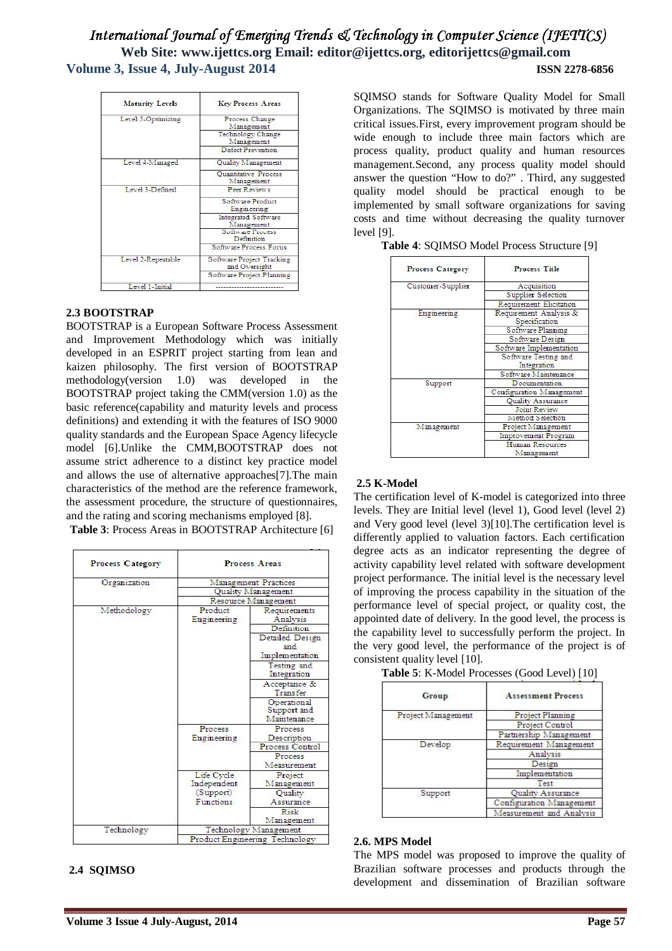# International Journal of Emerging Trends & Technology in Computer Science (IJETTCS) **Web Site: www.ijettcs.org Email: editor@ijettcs.org, editorijettcs@gmail.com Volume 3, Issue 4, July-August 2014 ISSN 2278-6856**

| <b>Maturity Levels</b> | <b>Key Process Areas</b>                   |
|------------------------|--------------------------------------------|
| Level 5-Optimizing     | Process Change<br>Management               |
|                        | Technology Change<br>Management            |
|                        | Defect Prevention                          |
| Level 4-Managed        | Quality Management                         |
|                        | Quantitative Process<br>Management         |
| Level 3-Defined        | Peer Reviews                               |
|                        | Software Product<br>Engineering            |
|                        | Integrated Software<br>Management          |
|                        | Software Process<br>Definition             |
|                        | Software Process Focus                     |
| Level 2-Repeatable     | Software Project Tracking<br>and Oversight |
|                        | Software Project Planning                  |
| Level 1-Initial        |                                            |

# **2.3 BOOTSTRAP**

BOOTSTRAP is a European Software Process Assessment and Improvement Methodology which was initially developed in an ESPRIT project starting from lean and kaizen philosophy. The first version of BOOTSTRAP methodology(version 1.0) was developed in the BOOTSTRAP project taking the CMM(version 1.0) as the basic reference(capability and maturity levels and process definitions) and extending it with the features of ISO 9000 quality standards and the European Space Agency lifecycle model [6].Unlike the CMM,BOOTSTRAP does not assume strict adherence to a distinct key practice model and allows the use of alternative approaches[7].The main characteristics of the method are the reference framework, the assessment procedure, the structure of questionnaires, and the rating and scoring mechanisms employed [8].

**Table 3**: Process Areas in BOOTSTRAP Architecture [6]

| Process Category |                                                     | Process Areas                             |
|------------------|-----------------------------------------------------|-------------------------------------------|
| Organization     |                                                     | Management Practices                      |
|                  |                                                     | <b>Ouality Management</b>                 |
|                  | Resource Management                                 |                                           |
| Methodology      | Product<br>Engmeering                               | Requirements<br>Analysis                  |
|                  |                                                     | Definition                                |
|                  |                                                     | Detailed Design<br>and<br>Implementation  |
|                  |                                                     | Testing and<br>Integration                |
|                  |                                                     | Acceptance &<br>Transfer                  |
|                  |                                                     | Operational<br>Support and<br>Maintenance |
|                  | <b>Process</b><br>Engineering                       | Process<br>Description                    |
|                  |                                                     | Process Control                           |
|                  |                                                     | Process<br>Measurement                    |
|                  | Life Cycle<br>Independent<br>(Support)<br>Functions | Project<br>Management                     |
|                  |                                                     | Quality<br>Assurance                      |
|                  |                                                     | Risk<br>Management                        |
| Technology       |                                                     | Technology Management                     |
|                  | Product Engineering Technology                      |                                           |

# **2.4 SQIMSO**

SQIMSO stands for Software Quality Model for Small Organizations. The SQIMSO is motivated by three main critical issues.First, every improvement program should be wide enough to include three main factors which are process quality, product quality and human resources management.Second, any process quality model should answer the question "How to do?" . Third, any suggested quality model should be practical enough to be implemented by small software organizations for saving costs and time without decreasing the quality turnover level [9].

| Process Category  | <b>Process Title</b>                    |
|-------------------|-----------------------------------------|
| Customer-Supplier | Acquisition                             |
|                   | Supplier Selection                      |
|                   | Requirement Elicitation                 |
| Engineering       | Requirement Analysis &<br>Specification |
|                   | Software Planning                       |
|                   | Software Design                         |
|                   | Software Implementation                 |
|                   | Software Testing and<br>Integration     |
|                   | Software Maintenance                    |
| Support           | Documentation                           |
|                   | Configuration Management                |
|                   | <b>Ouality Assurance</b>                |
|                   | <b>Joint Review</b>                     |
|                   | Method Selection                        |
| Management        | Project Management                      |
|                   | Improvement Program                     |
|                   | Human Resources<br>Management           |

# **Table 4**: SQIMSO Model Process Structure [9]

# **2.5 K-Model**

The certification level of K-model is categorized into three levels. They are Initial level (level 1), Good level (level 2) and Very good level (level 3)[10].The certification level is differently applied to valuation factors. Each certification degree acts as an indicator representing the degree of activity capability level related with software development project performance. The initial level is the necessary level of improving the process capability in the situation of the performance level of special project, or quality cost, the appointed date of delivery. In the good level, the process is the capability level to successfully perform the project. In the very good level, the performance of the project is of consistent quality level [10].

| Table 5: K-Model Processes (Good Level) [10] |  |
|----------------------------------------------|--|
|----------------------------------------------|--|

| Group              | <b>Assessment Process</b> |
|--------------------|---------------------------|
| Project Management | <b>Project Planning</b>   |
|                    | Project Control           |
|                    | Partnership Management    |
| Develop            | Requirement Management    |
|                    | Analysis                  |
|                    | Design                    |
|                    | Implementation            |
|                    | Test                      |
| Support            | Quality Assurance         |
|                    | Configuration Management  |
|                    | Measurement and Analysis  |

#### **2.6. MPS Model**

The MPS model was proposed to improve the quality of Brazilian software processes and products through the development and dissemination of Brazilian software